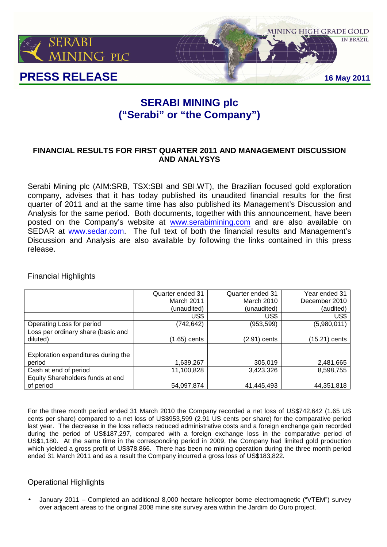

# **SERABI MINING plc ("Serabi" or "the Company")**

# **FINANCIAL RESULTS FOR FIRST QUARTER 2011 AND MANAGEMENT DISCUSSION AND ANALYSYS**

Serabi Mining plc (AIM:SRB, TSX:SBI and SBI.WT), the Brazilian focused gold exploration company, advises that it has today published its unaudited financial results for the first quarter of 2011 and at the same time has also published its Management's Discussion and Analysis for the same period. Both documents, together with this announcement, have been posted on the Company's website at www.serabimining.com and are also available on SEDAR at www.sedar.com. The full text of both the financial results and Management's Discussion and Analysis are also available by following the links contained in this press release.

Financial Highlights

|                                     | Quarter ended 31 | Quarter ended 31 | Year ended 31 |
|-------------------------------------|------------------|------------------|---------------|
|                                     | March 2011       | March 2010       | December 2010 |
|                                     | (unaudited)      | (unaudited)      | (audited)     |
|                                     | US\$             | US\$             | US\$          |
| Operating Loss for period           | (742,642)        | (953,599)        | (5,980,011)   |
| Loss per ordinary share (basic and  |                  |                  |               |
| diluted)                            | $(1.65)$ cents   | (2.91) cents     | (15.21) cents |
|                                     |                  |                  |               |
| Exploration expenditures during the |                  |                  |               |
| period                              | 1,639,267        | 305,019          | 2,481,665     |
| Cash at end of period               | 11,100,828       | 3,423,326        | 8,598,755     |
| Equity Shareholders funds at end    |                  |                  |               |
| of period                           | 54,097,874       | 41,445,493       | 44,351,818    |

For the three month period ended 31 March 2010 the Company recorded a net loss of US\$742,642 (1.65 US cents per share) compared to a net loss of US\$953,599 (2.91 US cents per share) for the comparative period last year. The decrease in the loss reflects reduced administrative costs and a foreign exchange gain recorded during the period of US\$187,297, compared with a foreign exchange loss in the comparative period of US\$1,180. At the same time in the corresponding period in 2009, the Company had limited gold production which yielded a gross profit of US\$78,866. There has been no mining operation during the three month period ended 31 March 2011 and as a result the Company incurred a gross loss of US\$183,822.

## Operational Highlights

• January 2011 – Completed an additional 8,000 hectare helicopter borne electromagnetic ("VTEM") survey over adjacent areas to the original 2008 mine site survey area within the Jardim do Ouro project.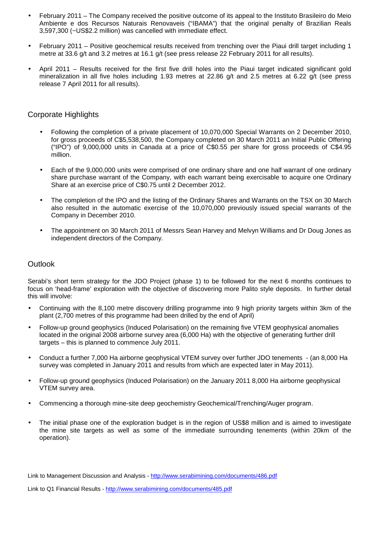- February 2011 The Company received the positive outcome of its appeal to the Instituto Brasileiro do Meio Ambiente e dos Recursos Naturais Renovaveis ("IBAMA") that the original penalty of Brazilian Reals 3,597,300 (~US\$2.2 million) was cancelled with immediate effect.
- February 2011 Positive geochemical results received from trenching over the Piaui drill target including 1 metre at 33.6 g/t and 3.2 metres at 16.1 g/t (see press release 22 February 2011 for all results).
- April 2011 Results received for the first five drill holes into the Piaui target indicated significant gold mineralization in all five holes including 1.93 metres at 22.86 g/t and 2.5 metres at 6.22 g/t (see press release 7 April 2011 for all results).

### Corporate Highlights

- Following the completion of a private placement of 10,070,000 Special Warrants on 2 December 2010, for gross proceeds of C\$5,538,500, the Company completed on 30 March 2011 an Initial Public Offering ("IPO") of 9,000,000 units in Canada at a price of C\$0.55 per share for gross proceeds of C\$4.95 million.
- Each of the 9,000,000 units were comprised of one ordinary share and one half warrant of one ordinary share purchase warrant of the Company, with each warrant being exercisable to acquire one Ordinary Share at an exercise price of C\$0.75 until 2 December 2012.
- The completion of the IPO and the listing of the Ordinary Shares and Warrants on the TSX on 30 March also resulted in the automatic exercise of the 10,070,000 previously issued special warrants of the Company in December 2010.
- The appointment on 30 March 2011 of Messrs Sean Harvey and Melvyn Williams and Dr Doug Jones as independent directors of the Company.

### **Outlook**

Serabi's short term strategy for the JDO Project (phase 1) to be followed for the next 6 months continues to focus on 'head-frame' exploration with the objective of discovering more Palito style deposits. In further detail this will involve:

- Continuing with the 8,100 metre discovery drilling programme into 9 high priority targets within 3km of the plant (2,700 metres of this programme had been drilled by the end of April)
- Follow-up ground geophysics (Induced Polarisation) on the remaining five VTEM geophysical anomalies located in the original 2008 airborne survey area (6,000 Ha) with the objective of generating further drill targets – this is planned to commence July 2011.
- Conduct a further 7,000 Ha airborne geophysical VTEM survey over further JDO tenements (an 8,000 Ha survey was completed in January 2011 and results from which are expected later in May 2011).
- Follow-up ground geophysics (Induced Polarisation) on the January 2011 8,000 Ha airborne geophysical VTEM survey area.
- Commencing a thorough mine-site deep geochemistry Geochemical/Trenching/Auger program.
- The initial phase one of the exploration budget is in the region of US\$8 million and is aimed to investigate the mine site targets as well as some of the immediate surrounding tenements (within 20km of the operation).

Link to Management Discussion and Analysis - http://www.serabimining.com/documents/486.pdf

Link to Q1 Financial Results - http://www.serabimining.com/documents/485.pdf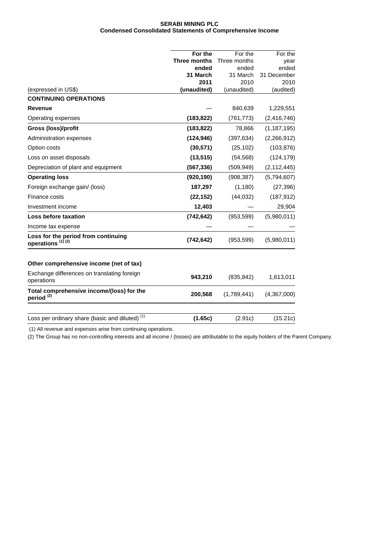#### **SERABI MINING PLC Condensed Consolidated Statements of Comprehensive Income**

|                                                                     | For the             | For the      | For the       |
|---------------------------------------------------------------------|---------------------|--------------|---------------|
|                                                                     | <b>Three months</b> | Three months | year          |
|                                                                     | ended               | ended        | ended         |
|                                                                     | 31 March            | 31 March     | 31 December   |
|                                                                     | 2011                | 2010         | 2010          |
| (expressed in US\$)                                                 | (unaudited)         | (unaudited)  | (audited)     |
| <b>CONTINUING OPERATIONS</b>                                        |                     |              |               |
| <b>Revenue</b>                                                      |                     | 840,639      | 1,229,551     |
| Operating expenses                                                  | (183, 822)          | (761, 773)   | (2, 416, 746) |
| Gross (loss)/profit                                                 | (183, 822)          | 78,866       | (1, 187, 195) |
| Administration expenses                                             | (124, 946)          | (397, 634)   | (2,266,912)   |
| Option costs                                                        | (30, 571)           | (25, 102)    | (103, 876)    |
| Loss on asset disposals                                             | (13, 515)           | (54, 568)    | (124, 179)    |
| Depreciation of plant and equipment                                 | (567, 336)          | (509, 949)   | (2, 112, 445) |
| <b>Operating loss</b>                                               | (920, 190)          | (908, 387)   | (5,794,607)   |
| Foreign exchange gain/ (loss)                                       | 187,297             | (1, 180)     | (27, 396)     |
| Finance costs                                                       | (22, 152)           | (44, 032)    | (187, 912)    |
| Investment income                                                   | 12,403              |              | 29,904        |
| Loss before taxation                                                | (742, 642)          | (953, 599)   | (5,980,011)   |
| Income tax expense                                                  |                     |              |               |
| Loss for the period from continuing<br>operations <sup>(1)(2)</sup> | (742, 642)          | (953, 599)   | (5,980,011)   |
| Other comprehensive income (net of tax)                             |                     |              |               |
| Exchange differences on translating foreign<br>operations           | 943,210             | (835, 842)   | 1,613,011     |
| Total comprehensive income/(loss) for the<br>period <sup>(2)</sup>  | 200,568             | (1,789,441)  | (4,367,000)   |
| Loss per ordinary share (basic and diluted) <sup>(1)</sup>          | (1.65c)             | (2.91c)      | (15.21c)      |
|                                                                     |                     |              |               |

(1) All revenue and expenses arise from continuing operations.

(2) The Group has no non-controlling interests and all income / (losses) are attributable to the equity holders of the Parent Company.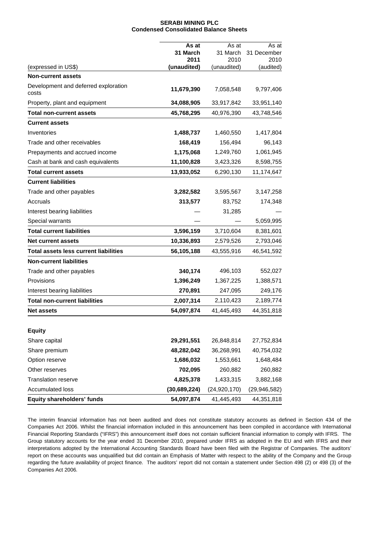#### **SERABI MINING PLC Condensed Consolidated Balance Sheets**

|                                              | As at            | As at            | As at               |
|----------------------------------------------|------------------|------------------|---------------------|
|                                              | 31 March<br>2011 | 31 March<br>2010 | 31 December<br>2010 |
| (expressed in US\$)                          | (unaudited)      | (unaudited)      | (audited)           |
| <b>Non-current assets</b>                    |                  |                  |                     |
| Development and deferred exploration         |                  |                  |                     |
| costs                                        | 11,679,390       | 7,058,548        | 9,797,406           |
| Property, plant and equipment                | 34,088,905       | 33,917,842       | 33,951,140          |
| Total non-current assets                     | 45,768,295       | 40,976,390       | 43,748,546          |
| <b>Current assets</b>                        |                  |                  |                     |
| Inventories                                  | 1,488,737        | 1,460,550        | 1,417,804           |
| Trade and other receivables                  | 168,419          | 156,494          | 96,143              |
| Prepayments and accrued income               | 1,175,068        | 1,249,760        | 1,061,945           |
| Cash at bank and cash equivalents            | 11,100,828       | 3,423,326        | 8,598,755           |
| <b>Total current assets</b>                  | 13,933,052       | 6,290,130        | 11,174,647          |
| <b>Current liabilities</b>                   |                  |                  |                     |
| Trade and other payables                     | 3,282,582        | 3,595,567        | 3,147,258           |
| Accruals                                     | 313,577          | 83,752           | 174,348             |
| Interest bearing liabilities                 |                  | 31,285           |                     |
| Special warrants                             |                  |                  | 5,059,995           |
| <b>Total current liabilities</b>             | 3,596,159        | 3,710,604        | 8,381,601           |
| Net current assets                           | 10,336,893       | 2,579,526        | 2,793,046           |
| <b>Total assets less current liabilities</b> | 56,105,188       | 43,555,916       | 46,541,592          |
| <b>Non-current liabilities</b>               |                  |                  |                     |
| Trade and other payables                     | 340,174          | 496,103          | 552,027             |
| Provisions                                   | 1,396,249        | 1,367,225        | 1,388,571           |
| Interest bearing liabilities                 | 270,891          | 247,095          | 249,176             |
| <b>Total non-current liabilities</b>         | 2,007,314        | 2,110,423        | 2,189,774           |
| <b>Net assets</b>                            | 54,097,874       | 41,445,493       | 44,351,818          |
|                                              |                  |                  |                     |
| <b>Equity</b>                                |                  |                  |                     |
| Share capital                                | 29,291,551       | 26,848,814       | 27,752,834          |
| Share premium                                | 48,282,042       | 36,268,991       | 40,754,032          |
| Option reserve                               | 1,686,032        | 1,553,661        | 1,648,484           |
| Other reserves                               | 702,095          | 260,882          | 260,882             |
| <b>Translation reserve</b>                   | 4,825,378        | 1,433,315        | 3,882,168           |
| <b>Accumulated loss</b>                      | (30, 689, 224)   | (24, 920, 170)   | (29, 946, 582)      |
| Equity shareholders' funds                   | 54,097,874       | 41,445,493       | 44,351,818          |

The interim financial information has not been audited and does not constitute statutory accounts as defined in Section 434 of the Companies Act 2006. Whilst the financial information included in this announcement has been compiled in accordance with International Financial Reporting Standards ("IFRS") this announcement itself does not contain sufficient financial information to comply with IFRS. The Group statutory accounts for the year ended 31 December 2010, prepared under IFRS as adopted in the EU and with IFRS and their interpretations adopted by the International Accounting Standards Board have been filed with the Registrar of Companies. The auditors' report on these accounts was unqualified but did contain an Emphasis of Matter with respect to the ability of the Company and the Group regarding the future availability of project finance. The auditors' report did not contain a statement under Section 498 (2) or 498 (3) of the Companies Act 2006.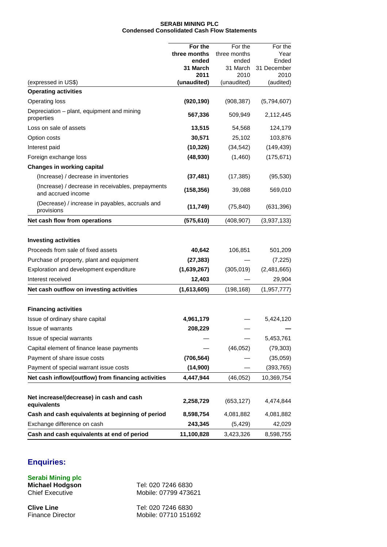#### **SERABI MINING PLC Condensed Consolidated Cash Flow Statements**

|                                                                         | For the          | For the          | For the             |
|-------------------------------------------------------------------------|------------------|------------------|---------------------|
|                                                                         | three months     | three months     | Year                |
|                                                                         | ended            | ended            | Ended               |
|                                                                         | 31 March<br>2011 | 31 March<br>2010 | 31 December<br>2010 |
| (expressed in US\$)                                                     | (unaudited)      | (unaudited)      | (audited)           |
| <b>Operating activities</b>                                             |                  |                  |                     |
| <b>Operating loss</b>                                                   | (920, 190)       | (908, 387)       | (5,794,607)         |
| Depreciation - plant, equipment and mining<br>properties                | 567,336          | 509,949          | 2,112,445           |
| Loss on sale of assets                                                  | 13,515           | 54,568           | 124,179             |
| Option costs                                                            | 30,571           | 25,102           | 103,876             |
| Interest paid                                                           | (10, 326)        | (34, 542)        | (149, 439)          |
| Foreign exchange loss                                                   | (48, 930)        | (1,460)          | (175, 671)          |
| <b>Changes in working capital</b>                                       |                  |                  |                     |
| (Increase) / decrease in inventories                                    | (37, 481)        | (17, 385)        | (95, 530)           |
| (Increase) / decrease in receivables, prepayments<br>and accrued income | (158, 356)       | 39,088           | 569,010             |
| (Decrease) / increase in payables, accruals and<br>provisions           | (11, 749)        | (75, 840)        | (631, 396)          |
| Net cash flow from operations                                           | (575, 610)       | (408, 907)       | (3,937,133)         |
| <b>Investing activities</b><br>Proceeds from sale of fixed assets       | 40,642           | 106,851          | 501,209             |
| Purchase of property, plant and equipment                               | (27, 383)        |                  | (7, 225)            |
| Exploration and development expenditure                                 | (1,639,267)      | (305, 019)       | (2,481,665)         |
| Interest received                                                       | 12,403           |                  | 29,904              |
| Net cash outflow on investing activities                                | (1,613,605)      | (198, 168)       | (1, 957, 777)       |
|                                                                         |                  |                  |                     |
| <b>Financing activities</b>                                             |                  |                  |                     |
| Issue of ordinary share capital                                         | 4,961,179        |                  | 5,424,120           |
| Issue of warrants                                                       | 208,229          |                  |                     |
| Issue of special warrants                                               |                  |                  | 5,453,761           |
| Capital element of finance lease payments                               |                  | (46, 052)        | (79, 303)           |
| Payment of share issue costs                                            | (706, 564)       |                  | (35,059)            |
| Payment of special warrant issue costs                                  | (14,900)         |                  | (393, 765)          |
| Net cash inflow/(outflow) from financing activities                     | 4,447,944        | (46, 052)        | 10,369,754          |
| Net increase/(decrease) in cash and cash<br>equivalents                 | 2,258,729        | (653, 127)       | 4,474,844           |
| Cash and cash equivalents at beginning of period                        | 8,598,754        | 4,081,882        | 4,081,882           |
| Exchange difference on cash                                             | 243,345          | (5, 429)         | 42,029              |
| Cash and cash equivalents at end of period                              | 11,100,828       | 3,423,326        | 8,598,755           |

# **Enquiries:**

**Serabi Mining plc Michael Hodgson** Tel: 020 7246 6830<br>Chief Executive Mobile: 07799 4736

Mobile: 07799 473621

**Clive Line** Tel: 020 7246 6830<br>
Finance Director Mobile: 07710 1516 Mobile: 07710 151692